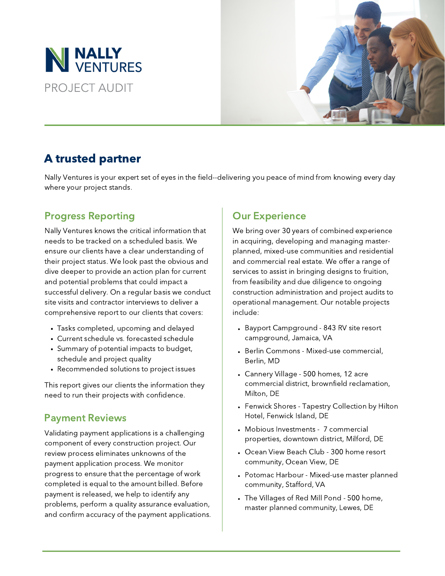



# A trusted partner

Nally Ventures is your expert set of eyes in the field--delivering you peace of mind from knowing every day where your project stands.

## Progress Reporting **CELL SET SET A** Dur Experience

Nally Ventures knows the critical information that needs to be tracked on a scheduled basis. We ensure our clients have a clear understanding of their project status. We look past the obvious and dive deeper to provide an action plan for current and potential problems that could impact a successful delivery. On a regular basis we conduct site visits and contractor interviews to deliver a comprehensive report to our clients that covers:

- Tasks completed, upcoming and delayed
- Current schedule vs. forecasted schedule
- Summary of potential impacts to budget, schedule and project quality
- Recommended solutions to project issues

This report gives our clients the information they need to run their projects with confidence.

### Payment Reviews

Validating payment applications is a challenging component of every construction project. Our review process eliminates unknowns of the payment application process. We monitor progress to ensure that the percentage of work completed is equal to the amount billed. Before payment is released, we help to identify any problems, perform a quality assurance evaluation, and confirm accuracy of the payment applications.

We bring over 30 years of combined experience in acquiring, developing and managing master planned, mixed-use communities and residential and commercial real estate. We offer a range of services to assist in bringing designs to fruition, from feasibility and due diligence to ongoing construction administration and project audits to operational management. Our notable projects include:

- Bayport Campground 843 RV site resort campground, Jamaica, VA
- Berlin Commons Mixed-use commercial, Berlin, MD
- Cannery Village 500 homes, 12 acre commercial district, brownfield reclamation, Milton, DE
- Fenwick Shores Tapestry Collection by Hilton Hotel, Fenwick Island, DE
- Mobious Investments 7 commercial properties, downtown district, Milford, DE
- Ocean View Beach Club 300 home resort community, Ocean View, DE
- Potomac Harbour Mixed-use master planned community, Stafford, VA
- The Villages of Red Mill Pond 500 home, master planned community, Lewes, DE